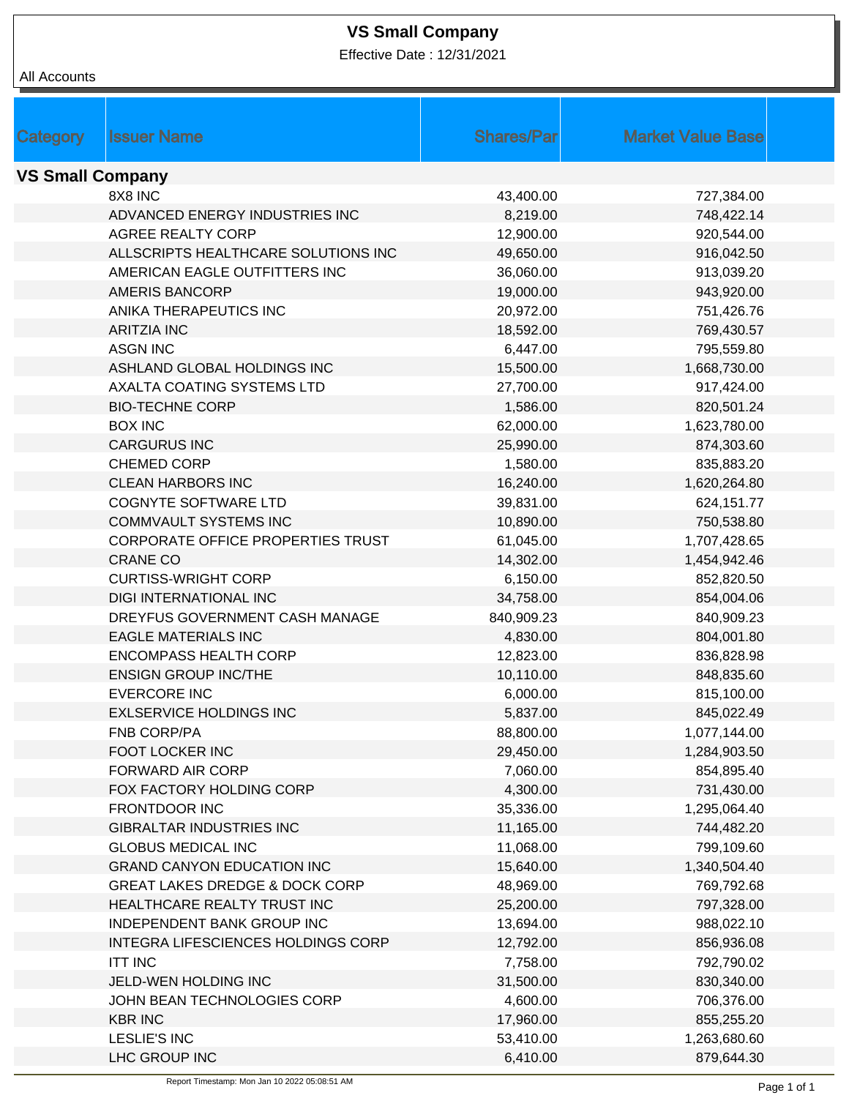## **VS Small Company**

Effective Date : 12/31/2021

| All Accounts            |                                           |                   |                          |
|-------------------------|-------------------------------------------|-------------------|--------------------------|
|                         |                                           |                   |                          |
|                         |                                           |                   |                          |
| Category                | <b>Issuer Name</b>                        | <b>Shares/Par</b> | <b>Market Value Base</b> |
| <b>VS Small Company</b> |                                           |                   |                          |
|                         | 8X8 INC                                   | 43,400.00         | 727,384.00               |
|                         | ADVANCED ENERGY INDUSTRIES INC            | 8,219.00          | 748,422.14               |
|                         | <b>AGREE REALTY CORP</b>                  | 12,900.00         | 920,544.00               |
|                         | ALLSCRIPTS HEALTHCARE SOLUTIONS INC       | 49,650.00         | 916,042.50               |
|                         | AMERICAN EAGLE OUTFITTERS INC             | 36,060.00         | 913,039.20               |
|                         | <b>AMERIS BANCORP</b>                     | 19,000.00         | 943,920.00               |
|                         | ANIKA THERAPEUTICS INC                    | 20,972.00         | 751,426.76               |
|                         | <b>ARITZIA INC</b>                        | 18,592.00         | 769,430.57               |
|                         | <b>ASGN INC</b>                           | 6,447.00          | 795,559.80               |
|                         | ASHLAND GLOBAL HOLDINGS INC               | 15,500.00         | 1,668,730.00             |
|                         | AXALTA COATING SYSTEMS LTD                | 27,700.00         | 917,424.00               |
|                         | <b>BIO-TECHNE CORP</b>                    | 1,586.00          | 820,501.24               |
|                         | <b>BOX INC</b>                            | 62,000.00         | 1,623,780.00             |
|                         | <b>CARGURUS INC</b>                       | 25,990.00         | 874,303.60               |
|                         | <b>CHEMED CORP</b>                        | 1,580.00          | 835,883.20               |
|                         | <b>CLEAN HARBORS INC</b>                  | 16,240.00         | 1,620,264.80             |
|                         | <b>COGNYTE SOFTWARE LTD</b>               | 39,831.00         | 624,151.77               |
|                         | <b>COMMVAULT SYSTEMS INC</b>              | 10,890.00         | 750,538.80               |
|                         | CORPORATE OFFICE PROPERTIES TRUST         | 61,045.00         | 1,707,428.65             |
|                         | <b>CRANE CO</b>                           | 14,302.00         | 1,454,942.46             |
|                         | <b>CURTISS-WRIGHT CORP</b>                | 6,150.00          | 852,820.50               |
|                         | DIGI INTERNATIONAL INC                    | 34,758.00         | 854,004.06               |
|                         | DREYFUS GOVERNMENT CASH MANAGE            | 840,909.23        | 840,909.23               |
|                         | <b>EAGLE MATERIALS INC</b>                | 4,830.00          | 804,001.80               |
|                         | <b>ENCOMPASS HEALTH CORP</b>              | 12,823.00         | 836,828.98               |
|                         | <b>ENSIGN GROUP INC/THE</b>               | 10,110.00         | 848,835.60               |
|                         | <b>EVERCORE INC</b>                       | 6,000.00          | 815,100.00               |
|                         | <b>EXLSERVICE HOLDINGS INC</b>            | 5,837.00          | 845,022.49               |
|                         | FNB CORP/PA                               | 88,800.00         | 1,077,144.00             |
|                         | <b>FOOT LOCKER INC</b>                    | 29,450.00         | 1,284,903.50             |
|                         | <b>FORWARD AIR CORP</b>                   | 7,060.00          | 854,895.40               |
|                         | FOX FACTORY HOLDING CORP                  | 4,300.00          | 731,430.00               |
|                         | <b>FRONTDOOR INC</b>                      | 35,336.00         | 1,295,064.40             |
|                         | <b>GIBRALTAR INDUSTRIES INC</b>           | 11,165.00         | 744,482.20               |
|                         | <b>GLOBUS MEDICAL INC</b>                 | 11,068.00         | 799,109.60               |
|                         | <b>GRAND CANYON EDUCATION INC</b>         | 15,640.00         | 1,340,504.40             |
|                         | <b>GREAT LAKES DREDGE &amp; DOCK CORP</b> | 48,969.00         | 769,792.68               |
|                         | HEALTHCARE REALTY TRUST INC               | 25,200.00         | 797,328.00               |
|                         | INDEPENDENT BANK GROUP INC                | 13,694.00         | 988,022.10               |
|                         | INTEGRA LIFESCIENCES HOLDINGS CORP        | 12,792.00         | 856,936.08               |
|                         | <b>ITT INC</b>                            | 7,758.00          | 792,790.02               |
|                         | JELD-WEN HOLDING INC                      | 31,500.00         | 830,340.00               |
|                         | JOHN BEAN TECHNOLOGIES CORP               | 4,600.00          | 706,376.00               |
|                         | <b>KBR INC</b>                            | 17,960.00         | 855,255.20               |
|                         | <b>LESLIE'S INC</b>                       | 53,410.00         | 1,263,680.60             |
|                         | LHC GROUP INC                             | 6,410.00          | 879,644.30               |